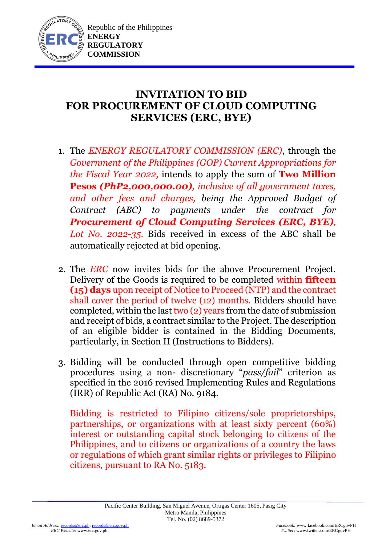

## **INVITATION TO BID FOR PROCUREMENT OF CLOUD COMPUTING SERVICES (ERC, BYE)**

- 1. The *ENERGY REGULATORY COMMISSION (ERC)*, through the *Government of the Philippines (GOP) Current Appropriations for the Fiscal Year 2022,* intends to apply the sum of **Two Million Pesos** *(PhP2,000,000.00), inclusive of all government taxes, and other fees and charges, being the Approved Budget of Contract (ABC) to payments under the contract for Procurement of Cloud Computing Services (ERC, BYE), Lot No. 2022-35.* Bids received in excess of the ABC shall be automatically rejected at bid opening.
- 2. The *ERC* now invites bids for the above Procurement Project. Delivery of the Goods is required to be completed within **fifteen (15) days** upon receipt of Notice to Proceed (NTP) and the contract shall cover the period of twelve (12) months. Bidders should have completed, within the last two  $(2)$  years from the date of submission and receipt of bids, a contract similar to the Project. The description of an eligible bidder is contained in the Bidding Documents, particularly, in Section II (Instructions to Bidders).
- 3. Bidding will be conducted through open competitive bidding procedures using a non- discretionary "*pass/fail*" criterion as specified in the 2016 revised Implementing Rules and Regulations (IRR) of Republic Act (RA) No. 9184.

Bidding is restricted to Filipino citizens/sole proprietorships, partnerships, or organizations with at least sixty percent (60%) interest or outstanding capital stock belonging to citizens of the Philippines, and to citizens or organizations of a country the laws or regulations of which grant similar rights or privileges to Filipino citizens, pursuant to RA No. 5183.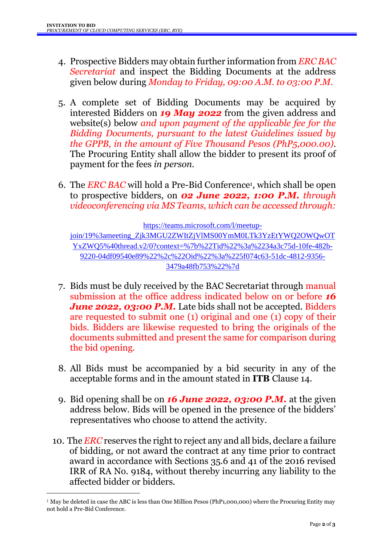- 4. Prospective Bidders may obtain further information from *ERC BAC Secretariat* and inspect the Bidding Documents at the address given below during *Monday to Friday, 09:00 A.M. to 03:00 P.M*.
- 5. A complete set of Bidding Documents may be acquired by interested Bidders on *19 May 2022* from the given address and website(s) below *and upon payment of the applicable fee for the Bidding Documents, pursuant to the latest Guidelines issued by the GPPB, in the amount of Five Thousand Pesos (PhP5,000.00)*. The Procuring Entity shall allow the bidder to present its proof of payment for the fees *in person.*
- 6. The *ERC BAC* will hold a Pre-Bid Conference<sup>1</sup> , which shall be open to prospective bidders, on *02 June 2022, 1:00 P.M. through videoconferencing via MS Teams, which can be accessed through:*

[https://teams.microsoft.com/l/meetup-](https://teams.microsoft.com/l/meetup-join/19%3ameeting_Zjk3MGU2ZWItZjVlMS00YmM0LTk3YzEtYWQ2OWQwOTYxZWQ5%40thread.v2/0?context=%7b%22Tid%22%3a%2234a3c75d-10fe-482b-9220-04df09540e89%22%2c%22Oid%22%3a%225f074c63-51dc-4812-9356-3479a48fb753%22%7d)

[join/19%3ameeting\\_Zjk3MGU2ZWItZjVlMS00YmM0LTk3YzEtYWQ2OWQwOT](https://teams.microsoft.com/l/meetup-join/19%3ameeting_Zjk3MGU2ZWItZjVlMS00YmM0LTk3YzEtYWQ2OWQwOTYxZWQ5%40thread.v2/0?context=%7b%22Tid%22%3a%2234a3c75d-10fe-482b-9220-04df09540e89%22%2c%22Oid%22%3a%225f074c63-51dc-4812-9356-3479a48fb753%22%7d) [YxZWQ5%40thread.v2/0?context=%7b%22Tid%22%3a%2234a3c75d-10fe-482b-](https://teams.microsoft.com/l/meetup-join/19%3ameeting_Zjk3MGU2ZWItZjVlMS00YmM0LTk3YzEtYWQ2OWQwOTYxZWQ5%40thread.v2/0?context=%7b%22Tid%22%3a%2234a3c75d-10fe-482b-9220-04df09540e89%22%2c%22Oid%22%3a%225f074c63-51dc-4812-9356-3479a48fb753%22%7d)[9220-04df09540e89%22%2c%22Oid%22%3a%225f074c63-51dc-4812-9356-](https://teams.microsoft.com/l/meetup-join/19%3ameeting_Zjk3MGU2ZWItZjVlMS00YmM0LTk3YzEtYWQ2OWQwOTYxZWQ5%40thread.v2/0?context=%7b%22Tid%22%3a%2234a3c75d-10fe-482b-9220-04df09540e89%22%2c%22Oid%22%3a%225f074c63-51dc-4812-9356-3479a48fb753%22%7d) [3479a48fb753%22%7d](https://teams.microsoft.com/l/meetup-join/19%3ameeting_Zjk3MGU2ZWItZjVlMS00YmM0LTk3YzEtYWQ2OWQwOTYxZWQ5%40thread.v2/0?context=%7b%22Tid%22%3a%2234a3c75d-10fe-482b-9220-04df09540e89%22%2c%22Oid%22%3a%225f074c63-51dc-4812-9356-3479a48fb753%22%7d)

- 7. Bids must be duly received by the BAC Secretariat through manual submission at the office address indicated below on or before *16 June* 2022, 03:00 P.M. Late bids shall not be accepted. Bidders are requested to submit one (1) original and one (1) copy of their bids. Bidders are likewise requested to bring the originals of the documents submitted and present the same for comparison during the bid opening.
- 8. All Bids must be accompanied by a bid security in any of the acceptable forms and in the amount stated in **ITB** Clause 14.
- 9. Bid opening shall be on *16 June 2022, 03:00 P.M.* at the given address below. Bids will be opened in the presence of the bidders' representatives who choose to attend the activity.
- 10. The *ERC* reserves the right to reject any and all bids, declare a failure of bidding, or not award the contract at any time prior to contract award in accordance with Sections 35.6 and 41 of the 2016 revised IRR of RA No. 9184, without thereby incurring any liability to the affected bidder or bidders.

1

<sup>1</sup> May be deleted in case the ABC is less than One Million Pesos (PhP1,000,000) where the Procuring Entity may not hold a Pre-Bid Conference.